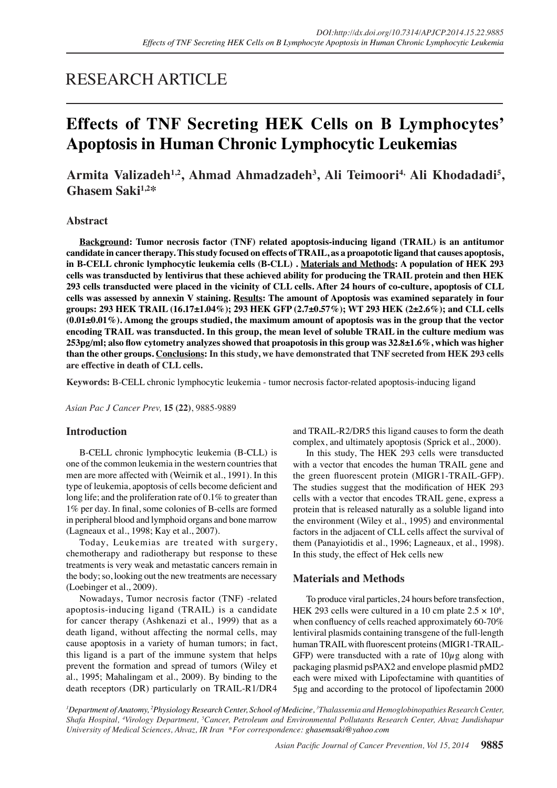# RESEARCH ARTICLE

# **Effects of TNF Secreting HEK Cells on B Lymphocytes' Apoptosis in Human Chronic Lymphocytic Leukemias**

# **Armita Valizadeh1,2, Ahmad Ahmadzadeh<sup>3</sup> , Ali Teimoori4, Ali Khodadadi5 , Ghasem Saki1,2\***

# **Abstract**

**Background: Tumor necrosis factor (TNF) related apoptosis-inducing ligand (TRAIL) is an antitumor candidate in cancer therapy. This study focused on effects of TRAIL, as a proapototic ligand that causes apoptosis, in B-CELL chronic lymphocytic leukemia cells (B-CLL) . Materials and Methods: A population of HEK 293 cells was transducted by lentivirus that these achieved ability for producing the TRAIL protein and then HEK 293 cells transducted were placed in the vicinity of CLL cells. After 24 hours of co-culture, apoptosis of CLL cells was assessed by annexin V staining. Results: The amount of Apoptosis was examined separately in four groups: 293 HEK TRAIL (16.17±1.04%); 293 HEK GFP (2.7±0.57%); WT 293 HEK (2±2.6%); and CLL cells (0.01±0.01%). Among the groups studied, the maximum amount of apoptosis was in the group that the vector encoding TRAIL was transducted. In this group, the mean level of soluble TRAIL in the culture medium was 253pg/ml; also flow cytometry analyzes showed that proapotosis in this group was 32.8±1.6%, which was higher than the other groups. Conclusions: In this study, we have demonstrated that TNF secreted from HEK 293 cells are effective in death of CLL cells.**

**Keywords:** B-CELL chronic lymphocytic leukemia - tumor necrosis factor-related apoptosis-inducing ligand

*Asian Pac J Cancer Prev,* **15 (22)**, 9885-9889

## **Introduction**

B-CELL chronic lymphocytic leukemia (B-CLL) is one of the common leukemia in the western countries that men are more affected with (Weirnik et al., 1991). In this type of leukemia, apoptosis of cells become deficient and long life; and the proliferation rate of 0.1% to greater than 1% per day. In final, some colonies of B-cells are formed in peripheral blood and lymphoid organs and bone marrow (Lagneaux et al., 1998; Kay et al., 2007).

Today, Leukemias are treated with surgery, chemotherapy and radiotherapy but response to these treatments is very weak and metastatic cancers remain in the body; so, looking out the new treatments are necessary (Loebinger et al., 2009).

Nowadays, Tumor necrosis factor (TNF) -related apoptosis-inducing ligand (TRAIL) is a candidate for cancer therapy (Ashkenazi et al., 1999) that as a death ligand, without affecting the normal cells, may cause apoptosis in a variety of human tumors; in fact, this ligand is a part of the immune system that helps prevent the formation and spread of tumors (Wiley et al., 1995; Mahalingam et al., 2009). By binding to the death receptors (DR) particularly on TRAIL-R1/DR4

and TRAIL-R2/DR5 this ligand causes to form the death complex, and ultimately apoptosis (Sprick et al., 2000).

In this study, The HEK 293 cells were transducted with a vector that encodes the human TRAIL gene and the green fluorescent protein (MIGR1-TRAIL-GFP). The studies suggest that the modification of HEK 293 cells with a vector that encodes TRAIL gene, express a protein that is released naturally as a soluble ligand into the environment (Wiley et al., 1995) and environmental factors in the adjacent of CLL cells affect the survival of them (Panayiotidis et al., 1996; Lagneaux, et al., 1998). In this study, the effect of Hek cells new

# **Materials and Methods**

To produce viral particles, 24 hours before transfection, HEK 293 cells were cultured in a 10 cm plate  $2.5 \times 10^6$ , when confluency of cells reached approximately 60-70% lentiviral plasmids containing transgene of the full-length human TRAIL with fluorescent proteins (MIGR1-TRAIL-GFP) were transducted with a rate of  $10\mu$ g along with packaging plasmid psPAX2 and envelope plasmid pMD2 each were mixed with Lipofectamine with quantities of 5μg and according to the protocol of lipofectamin 2000

*1 Department of Anatomy, 2 Physiology Research Center, School of Medicine, 3 Thalassemia and Hemoglobinopathies Research Center, Shafa Hospital, 4 Virology Department, 5 Cancer, Petroleum and Environmental Pollutants Research Center, Ahvaz Jundishapur University of Medical Sciences, Ahvaz, IR Iran \*For correspondence: ghasemsaki@yahoo.com*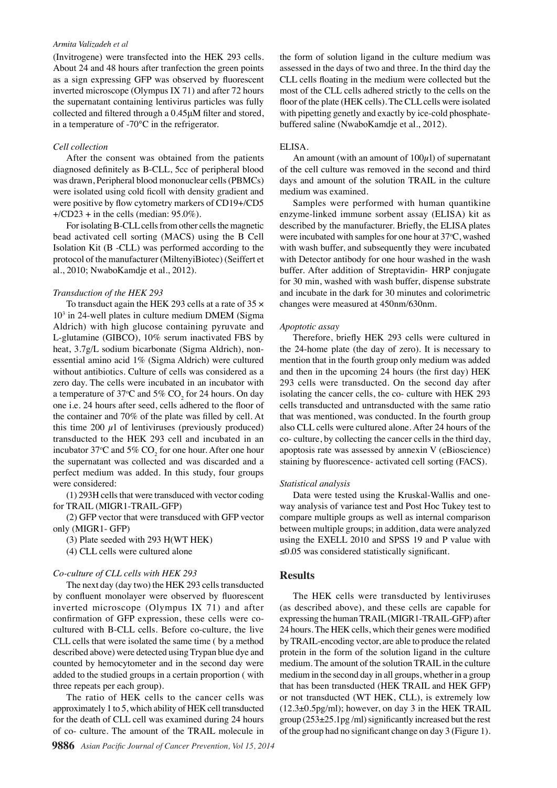#### *Armita Valizadeh et al*

(Invitrogene) were transfected into the HEK 293 cells. About 24 and 48 hours after tranfection the green points as a sign expressing GFP was observed by fluorescent inverted microscope (Olympus IX 71) and after 72 hours the supernatant containing lentivirus particles was fully collected and filtered through a 0.45μM filter and stored, in a temperature of -70°C in the refrigerator.

#### *Cell collection*

After the consent was obtained from the patients diagnosed definitely as B-CLL, 5cc of peripheral blood was drawn, Peripheral blood mononuclear cells (PBMCs) were isolated using cold ficoll with density gradient and were positive by flow cytometry markers of CD19+/CD5  $+$ /CD23 + in the cells (median: 95.0%).

For isolating B-CLL cells from other cells the magnetic bead activated cell sorting (MACS) using the B Cell Isolation Kit (B -CLL) was performed according to the protocol of the manufacturer (MiltenyiBiotec) (Seiffert et al., 2010; NwaboKamdje et al., 2012).

#### *Transduction of the HEK 293*

To transduct again the HEK 293 cells at a rate of  $35 \times$ 103 in 24-well plates in culture medium DMEM (Sigma Aldrich) with high glucose containing pyruvate and L-glutamine (GIBCO), 10% serum inactivated FBS by heat, 3.7g/L sodium bicarbonate (Sigma Aldrich), nonessential amino acid 1% (Sigma Aldrich) were cultured without antibiotics. Culture of cells was considered as a zero day. The cells were incubated in an incubator with a temperature of 37°C and 5%  $\text{CO}_2^{\text{}}$  for 24 hours. On day one i.e. 24 hours after seed, cells adhered to the floor of the container and 70% of the plate was filled by cell. At this time 200  $\mu$ l of lentiviruses (previously produced) transducted to the HEK 293 cell and incubated in an incubator 37°C and 5%  $CO_2$  for one hour. After one hour the supernatant was collected and was discarded and a perfect medium was added. In this study, four groups were considered:

(1) 293H cells that were transduced with vector coding for TRAIL (MIGR1-TRAIL-GFP)

(2) GFP vector that were transduced with GFP vector only (MIGR1- GFP)

(3) Plate seeded with 293 H(WT HEK)

(4) CLL cells were cultured alone

#### *Co-culture of CLL cells with HEK 293*

The next day (day two) the HEK 293 cells transducted by confluent monolayer were observed by fluorescent inverted microscope (Olympus IX 71) and after confirmation of GFP expression, these cells were cocultured with B-CLL cells. Before co-culture, the live CLL cells that were isolated the same time ( by a method described above) were detected using Trypan blue dye and counted by hemocytometer and in the second day were added to the studied groups in a certain proportion ( with three repeats per each group).

The ratio of HEK cells to the cancer cells was approximately 1 to 5, which ability of HEK cell transducted for the death of CLL cell was examined during 24 hours of co- culture. The amount of the TRAIL molecule in

the form of solution ligand in the culture medium was assessed in the days of two and three. In the third day the CLL cells floating in the medium were collected but the most of the CLL cells adhered strictly to the cells on the floor of the plate (HEK cells). The CLL cells were isolated with pipetting genetly and exactly by ice-cold phosphatebuffered saline (NwaboKamdje et al., 2012).

#### ELISA.

An amount (with an amount of  $100\mu$ l) of supernatant of the cell culture was removed in the second and third days and amount of the solution TRAIL in the culture medium was examined.

Samples were performed with human quantikine enzyme-linked immune sorbent assay (ELISA) kit as described by the manufacturer. Briefly, the ELISA plates were incubated with samples for one hour at  $37^{\circ}$ C, washed with wash buffer, and subsequently they were incubated with Detector antibody for one hour washed in the wash buffer. After addition of Streptavidin- HRP conjugate for 30 min, washed with wash buffer, dispense substrate and incubate in the dark for 30 minutes and colorimetric changes were measured at 450nm/630nm.

#### *Apoptotic assay*

Therefore, briefly HEK 293 cells were cultured in the 24-home plate (the day of zero). It is necessary to mention that in the fourth group only medium was added and then in the upcoming 24 hours (the first day) HEK 293 cells were transducted. On the second day after isolating the cancer cells, the co- culture with HEK 293 cells transducted and untransducted with the same ratio that was mentioned, was conducted. In the fourth group also CLL cells were cultured alone. After 24 hours of the co- culture, by collecting the cancer cells in the third day, apoptosis rate was assessed by annexin V (eBioscience) staining by fluorescence- activated cell sorting (FACS).

#### *Statistical analysis*

Data were tested using the Kruskal-Wallis and oneway analysis of variance test and Post Hoc Tukey test to compare multiple groups as well as internal comparison between multiple groups; in addition, data were analyzed using the EXELL 2010 and SPSS 19 and P value with ≤0.05 was considered statistically significant.

## **Results**

The HEK cells were transducted by lentiviruses (as described above), and these cells are capable for expressing the human TRAIL (MIGR1-TRAIL-GFP) after 24 hours. The HEK cells, which their genes were modified by TRAIL-encoding vector, are able to produce the related protein in the form of the solution ligand in the culture medium. The amount of the solution TRAIL in the culture medium in the second day in all groups, whether in a group that has been transducted (HEK TRAIL and HEK GFP) or not transducted (WT HEK, CLL), is extremely low  $(12.3\pm0.5\text{pg/ml})$ ; however, on day 3 in the HEK TRAIL group (253±25.1pg /ml) significantly increased but the rest of the group had no significant change on day 3 (Figure 1).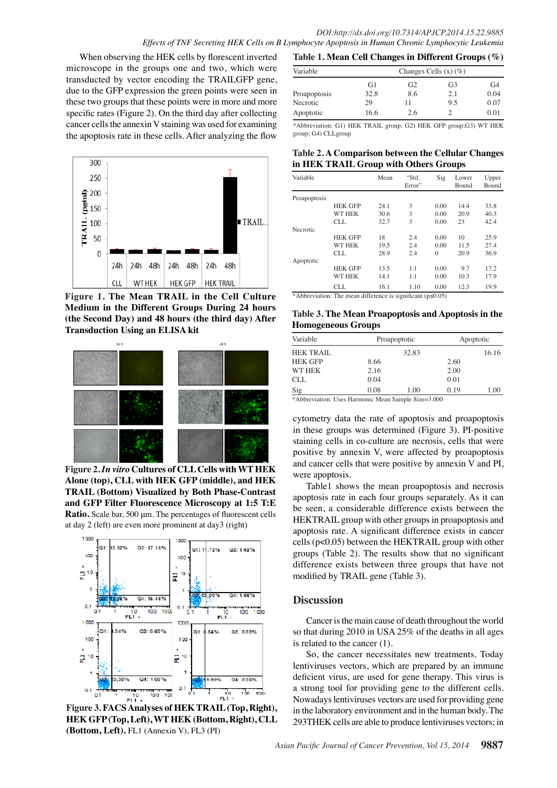When observing the HEK cells by florescent inverted microscope in the groups one and two, which were transducted by vector encoding the TRAILGFP gene, due to the GFP expression the green points were seen in these two groups that these points were in more and more specific rates (Figure 2). On the third day after collecting cancer cells the annexin V staining was used for examining the apoptosis rate in these cells. After analyzing the flow



**Figure 1. The Mean TRAIL in the Cell Culture Medium in the Different Groups During 24 hours (the Second Day) and 48 hours (the third day) After Transduction Using an ELISA kit** 



**Figure 2.** *In vitro* **Cultures of CLL Cells with WT HEK Alone (top), CLL with HEK GFP (middle), and HEK TRAIL (Bottom) Visualized by Both Phase-Contrast and GFP Filter Fluorescence Microscopy at 1:5 T:E Ratio.** Scale bar, 500 μm. The percentages of fluorescent cells at day 2 (left) are even more prominent at day3 (right)



**Figure 3. FACS Analyses of HEK TRAIL (Top, Right), HEK GFP (Top, Left), WT HEK (Bottom, Right), CLL (Bottom, Left).** FL1 (Annexin V), FL3 (PI)

| Table 1. Mean Cell Changes in Different Groups $(\%)$ |                            |                |                |      |  |  |  |
|-------------------------------------------------------|----------------------------|----------------|----------------|------|--|--|--|
| Variable                                              | Changes Cells $(x)$ $(\%)$ |                |                |      |  |  |  |
|                                                       | G1                         | G <sub>2</sub> | G <sub>3</sub> | G4   |  |  |  |
| Proapoptosis                                          | 32.8                       | 8.6            | 2.1            | 0.04 |  |  |  |
| Necrotic                                              | 29                         | 11             | 9.5            | 0.07 |  |  |  |
| Apoptotic                                             | 16.6                       | 2.6            | $\mathcal{D}$  | 0.01 |  |  |  |

\*Abbreviation: G1) HEK TRAIL group; G2) HEK GFP group;G3) WT HEK group; G4) CLLgroup

# Table 2. A Comparison between the Cellular Changes<sub>00.0</sub> **in HEK TRAIL Group with Others Groups**

| Sig<br>Mean<br>"Std.<br>Variable<br>Upper<br>Lower<br>Error"<br>Bound<br>Bound<br>Proapoptosis<br>3<br><b>HEK GFP</b><br>0.00<br>14.4<br>24.1<br>33.8<br><b>WT HEK</b><br>3<br>20.9<br>30.6<br>0.00<br>40.3<br>3<br><b>CLL</b><br>23<br>42.4<br>32.7<br>0.00<br>Necrotic<br>50.0<br>25.9<br>18<br>10<br><b>HEK GFP</b><br>0.00<br>2.4<br><b>WT HEK</b><br>27.4<br>19.5<br>2.4<br>0.00<br>11.5<br>28.9<br>20.9<br>CLL.<br>2.4<br>36.9<br>$\theta$<br>Apoptotic<br><b>HEK GFP</b><br>13.5<br>1.1<br>0.00<br>9.7<br>17.2<br>25.0<br><b>WT HEK</b><br>17.9<br>0.00<br>10.3<br>14.1<br>1.1<br>19.9<br><b>CLL</b><br>16.1<br>1.10<br>0.00<br>12.3 |  |  |  |      |
|---------------------------------------------------------------------------------------------------------------------------------------------------------------------------------------------------------------------------------------------------------------------------------------------------------------------------------------------------------------------------------------------------------------------------------------------------------------------------------------------------------------------------------------------------------------------------------------------------------------------------------------------|--|--|--|------|
|                                                                                                                                                                                                                                                                                                                                                                                                                                                                                                                                                                                                                                             |  |  |  |      |
|                                                                                                                                                                                                                                                                                                                                                                                                                                                                                                                                                                                                                                             |  |  |  | 75.0 |
|                                                                                                                                                                                                                                                                                                                                                                                                                                                                                                                                                                                                                                             |  |  |  |      |
|                                                                                                                                                                                                                                                                                                                                                                                                                                                                                                                                                                                                                                             |  |  |  |      |
|                                                                                                                                                                                                                                                                                                                                                                                                                                                                                                                                                                                                                                             |  |  |  |      |
|                                                                                                                                                                                                                                                                                                                                                                                                                                                                                                                                                                                                                                             |  |  |  |      |
|                                                                                                                                                                                                                                                                                                                                                                                                                                                                                                                                                                                                                                             |  |  |  |      |
|                                                                                                                                                                                                                                                                                                                                                                                                                                                                                                                                                                                                                                             |  |  |  |      |
|                                                                                                                                                                                                                                                                                                                                                                                                                                                                                                                                                                                                                                             |  |  |  |      |
|                                                                                                                                                                                                                                                                                                                                                                                                                                                                                                                                                                                                                                             |  |  |  |      |
|                                                                                                                                                                                                                                                                                                                                                                                                                                                                                                                                                                                                                                             |  |  |  |      |
|                                                                                                                                                                                                                                                                                                                                                                                                                                                                                                                                                                                                                                             |  |  |  |      |
|                                                                                                                                                                                                                                                                                                                                                                                                                                                                                                                                                                                                                                             |  |  |  |      |

\*Abbreviation: The mean difference is significant (p≤0.05)

#### 0 **Table 3. The Mean Proapoptosis and Apoptosis in the Homogeneous Groups**

| Variable         |      | Proapoptotic | Apoptotic |       |  |
|------------------|------|--------------|-----------|-------|--|
| <b>HEK TRAIL</b> |      | 32.83        |           | 16.16 |  |
| <b>HEK GFP</b>   | 8.66 |              | 2.60      |       |  |
| WT HEK           | 2.16 |              | 2.00      |       |  |
| <b>CLL</b>       | 0.04 |              | 0.01      |       |  |
| Sig              | 0.08 | 1.00         | 0.19      | 1.00  |  |

\*Abbreviation: Uses Harmonic Mean Sample Size=3.000

cytometry data the rate of apoptosis and proapoptosis in these groups was determined (Figure 3). PI-positive staining cells in co-culture are necrosis, cells that were positive by annexin V, were affected by proapoptosis and cancer cells that were positive by annexin V and PI, were apoptosis.

Table1 shows the mean proapoptosis and necrosis apoptosis rate in each four groups separately. As it can be seen, a considerable difference exists between the HEKTRAIL group with other groups in proapoptosis and apoptosis rate. A significant difference exists in cancer cells (p<0.05) between the HEKTRAIL group with other groups (Table 2). The results show that no significant difference exists between three groups that have not modified by TRAIL gene (Table 3).

# **Discussion**

Cancer is the main cause of death throughout the world so that during 2010 in USA 25% of the deaths in all ages is related to the cancer (1).

So, the cancer necessitates new treatments. Today lentiviruses vectors, which are prepared by an immune deficient virus, are used for gene therapy. This virus is a strong tool for providing gene to the different cells. Nowadays lentiviruses vectors are used for providing gene in the laboratory environment and in the human body. The 293THEK cells are able to produce lentiviruses vectors; in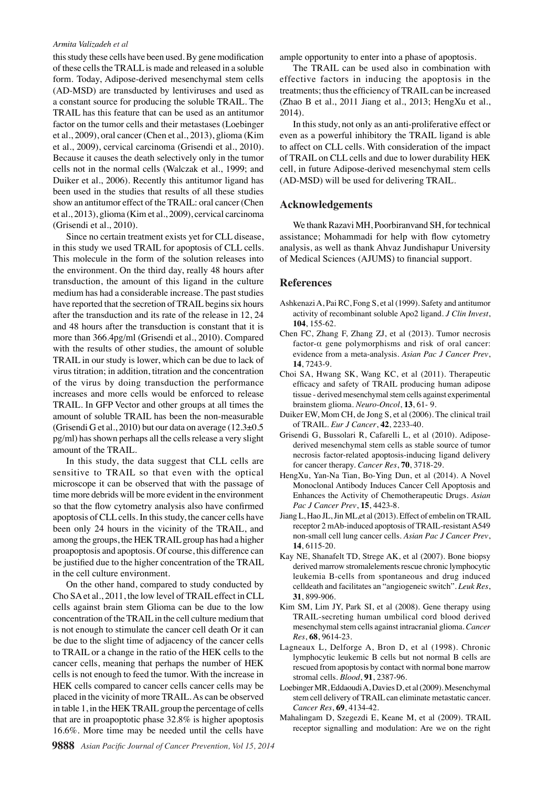### *Armita Valizadeh et al*

this study these cells have been used. By gene modification of these cells the TRALL is made and released in a soluble form. Today, Adipose-derived mesenchymal stem cells (AD-MSD) are transducted by lentiviruses and used as a constant source for producing the soluble TRAIL. The TRAIL has this feature that can be used as an antitumor factor on the tumor cells and their metastases (Loebinger et al., 2009), oral cancer (Chen et al., 2013), glioma (Kim et al., 2009), cervical carcinoma (Grisendi et al., 2010). Because it causes the death selectively only in the tumor cells not in the normal cells (Walczak et al., 1999; and Duiker et al., 2006). Recently this antitumor ligand has been used in the studies that results of all these studies show an antitumor effect of the TRAIL: oral cancer (Chen et al., 2013), glioma (Kim et al., 2009), cervical carcinoma (Grisendi et al., 2010).

Since no certain treatment exists yet for CLL disease, in this study we used TRAIL for apoptosis of CLL cells. This molecule in the form of the solution releases into the environment. On the third day, really 48 hours after transduction, the amount of this ligand in the culture medium has had a considerable increase. The past studies have reported that the secretion of TRAIL begins six hours after the transduction and its rate of the release in 12, 24 and 48 hours after the transduction is constant that it is more than 366.4pg/ml (Grisendi et al., 2010). Compared with the results of other studies, the amount of soluble TRAIL in our study is lower, which can be due to lack of virus titration; in addition, titration and the concentration of the virus by doing transduction the performance increases and more cells would be enforced to release TRAIL. In GFP Vector and other groups at all times the amount of soluble TRAIL has been the non-measurable (Grisendi G et al., 2010) but our data on average  $(12.3\pm0.5$ pg/ml) has shown perhaps all the cells release a very slight amount of the TRAIL.

In this study, the data suggest that CLL cells are sensitive to TRAIL so that even with the optical microscope it can be observed that with the passage of time more debrids will be more evident in the environment so that the flow cytometry analysis also have confirmed apoptosis of CLL cells. In this study, the cancer cells have been only 24 hours in the vicinity of the TRAIL, and among the groups, the HEK TRAIL group has had a higher proapoptosis and apoptosis. Of course, this difference can be justified due to the higher concentration of the TRAIL in the cell culture environment.

On the other hand, compared to study conducted by Cho SA et al., 2011, the low level of TRAIL effect in CLL cells against brain stem Glioma can be due to the low concentration of the TRAIL in the cell culture medium that is not enough to stimulate the cancer cell death Or it can be due to the slight time of adjacency of the cancer cells to TRAIL or a change in the ratio of the HEK cells to the cancer cells, meaning that perhaps the number of HEK cells is not enough to feed the tumor. With the increase in HEK cells compared to cancer cells cancer cells may be placed in the vicinity of more TRAIL. As can be observed in table 1, in the HEK TRAIL group the percentage of cells that are in proapoptotic phase 32.8% is higher apoptosis 16.6%. More time may be needed until the cells have

ample opportunity to enter into a phase of apoptosis.

The TRAIL can be used also in combination with effective factors in inducing the apoptosis in the treatments; thus the efficiency of TRAIL can be increased (Zhao B et al., 2011 Jiang et al., 2013; HengXu et al., 2014).

In this study, not only as an anti-proliferative effect or even as a powerful inhibitory the TRAIL ligand is able to affect on CLL cells. With consideration of the impact of TRAIL on CLL cells and due to lower durability HEK cell, in future Adipose-derived mesenchymal stem cells (AD-MSD) will be used for delivering TRAIL.

# **Acknowledgements**

We thank Razavi MH, Poorbiranvand SH, for technical assistance; Mohammadi for help with flow cytometry analysis, as well as thank Ahvaz Jundishapur University of Medical Sciences (AJUMS) to financial support.

# **References**

- Ashkenazi A, Pai RC, Fong S, et al (1999). Safety and antitumor activity of recombinant soluble Apo2 ligand. *J Clin Invest*, **104**, 155-62.
- Chen FC, Zhang F, Zhang ZJ, et al (2013). Tumor necrosis factor-α gene polymorphisms and risk of oral cancer: evidence from a meta-analysis. *Asian Pac J Cancer Prev*, **14**, 7243-9.
- Choi SA, Hwang SK, Wang KC, et al (2011). Therapeutic efficacy and safety of TRAIL producing human adipose tissue - derived mesenchymal stem cells against experimental brainstem glioma. *Neuro-Oncol*, **13**, 61- 9.
- Duiker EW, Mom CH, de Jong S, et al (2006). The clinical trail of TRAIL. *Eur J Cancer*, **42**, 2233-40.
- Grisendi G, Bussolari R, Cafarelli L, et al (2010). Adiposederived mesenchymal stem cells as stable source of tumor necrosis factor-related apoptosis-inducing ligand delivery for cancer therapy. *Cancer Res*, **70**, 3718-29.
- HengXu, Yan-Na Tian, Bo-Ying Dun, et al (2014). A Novel Monoclonal Antibody Induces Cancer Cell Apoptosis and Enhances the Activity of Chemotherapeutic Drugs. *Asian Pac J Cancer Prev*, **15**, 4423-8.
- Jiang L, Hao JL, Jin ML,et al (2013). Effect of embelin on TRAIL receptor 2 mAb-induced apoptosis of TRAIL-resistant A549 non-small cell lung cancer cells. *Asian Pac J Cancer Prev*, **14**, 6115-20.
- Kay NE, Shanafelt TD, Strege AK, et al (2007). Bone biopsy derived marrow stromalelements rescue chronic lymphocytic leukemia B-cells from spontaneous and drug induced celldeath and facilitates an "angiogeneic switch". *Leuk Res*, **31**, 899-906.
- Kim SM, Lim JY, Park SI, et al (2008). Gene therapy using TRAIL-secreting human umbilical cord blood derived mesenchymal stem cells against intracranial glioma. *Cancer Res*, **68**, 9614-23.
- Lagneaux L, Delforge A, Bron D, et al (1998). Chronic lymphocytic leukemic B cells but not normal B cells are rescued from apoptosis by contact with normal bone marrow stromal cells. *Blood*, **91**, 2387-96.
- Loebinger MR, Eddaoudi A, Davies D, et al (2009). Mesenchymal stem cell delivery of TRAIL can eliminate metastatic cancer. *Cancer Res*, **69**, 4134-42.
- Mahalingam D, Szegezdi E, Keane M, et al (2009). TRAIL receptor signalling and modulation: Are we on the right